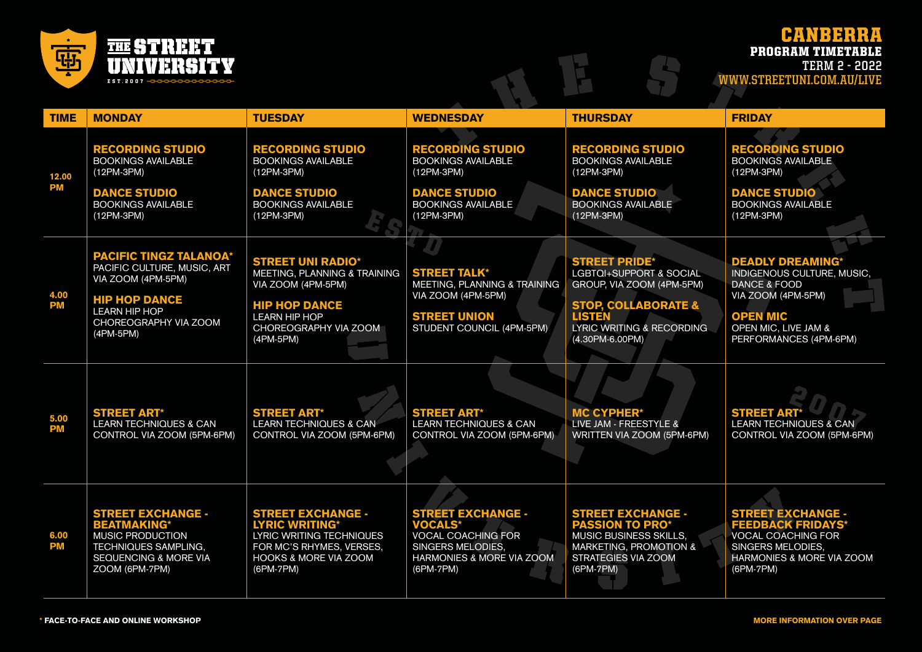

## CANBERRA PROGRAM TIMETABLE

**TERM 2 - 2022 WWW.STREETUNI.COM.AU/LIVE**

| <b>TIME</b>        | <b>MONDAY</b>                                                                                                                                       | <b>TUESDAY</b>                                                                                                                                             | <b>WEDNESDAY</b>                                                                                                                              | <b>THURSDAY</b>                                                                                                                                   | <b>FRIDAY</b>                                                                                                                                               |
|--------------------|-----------------------------------------------------------------------------------------------------------------------------------------------------|------------------------------------------------------------------------------------------------------------------------------------------------------------|-----------------------------------------------------------------------------------------------------------------------------------------------|---------------------------------------------------------------------------------------------------------------------------------------------------|-------------------------------------------------------------------------------------------------------------------------------------------------------------|
| 12.00<br><b>PM</b> | <b>RECORDING STUDIO</b><br><b>BOOKINGS AVAILABLE</b><br>(12PM-3PM)<br><b>DANCE STUDIO</b>                                                           | <b>RECORDING STUDIO</b><br><b>BOOKINGS AVAILABLE</b><br>(12PM-3PM)<br><b>DANCE STUDIO</b>                                                                  | <b>RECORDING STUDIO</b><br><b>BOOKINGS AVAILABLE</b><br>$(12PM-3PM)$<br><b>DANCE STUDIO</b>                                                   | <b>RECORDING STUDIO</b><br><b>BOOKINGS AVAILABLE</b><br>(12PM-3PM)<br><b>DANCE STUDIO</b>                                                         | <b>RECORDING STUDIO</b><br><b>BOOKINGS AVAILABLE</b><br>(12PM-3PM)<br><b>DANCE STUDIO</b>                                                                   |
|                    | <b>BOOKINGS AVAILABLE</b><br>(12PM-3PM)                                                                                                             | <b>BOOKINGS AVAILABLE</b><br>(12PM-3PM)                                                                                                                    | <b>BOOKINGS AVAILABLE</b><br>(12PM-3PM)                                                                                                       | <b>BOOKINGS AVAILABLE</b><br>(12PM-3PM)                                                                                                           | <b>BOOKINGS AVAILABLE</b><br>(12PM-3PM)                                                                                                                     |
| 4.00<br><b>PM</b>  | <b>PACIFIC TINGZ TALANOA*</b><br>PACIFIC CULTURE, MUSIC, ART<br>VIA ZOOM (4PM-5PM)<br><b>HIP HOP DANCE</b>                                          | <b>STREET UNI RADIO*</b><br>MEETING, PLANNING & TRAINING<br>VIA ZOOM (4PM-5PM)<br><b>HIP HOP DANCE</b>                                                     | <b>STREET TALK*</b><br>MEETING, PLANNING & TRAINING<br>VIA ZOOM (4PM-5PM)                                                                     | <b>STREET PRIDE*</b><br><b>LGBTQI+SUPPORT &amp; SOCIAL</b><br>GROUP, VIA ZOOM (4PM-5PM)<br><b>STOP, COLLABORATE &amp;</b>                         | <b>DEADLY DREAMING*</b><br><b>INDIGENOUS CULTURE, MUSIC,</b><br><b>DANCE &amp; FOOD</b><br>VIA ZOOM (4PM-5PM)                                               |
|                    | <b>LEARN HIP HOP</b><br>CHOREOGRAPHY VIA ZOOM<br>(4PM-5PM)                                                                                          | <b>LEARN HIP HOP</b><br>CHOREOGRAPHY VIA ZOOM<br>(4PM-5PM)                                                                                                 | <b>STREET UNION</b><br>STUDENT COUNCIL (4PM-5PM)                                                                                              | <b>LISTEN</b><br>LYRIC WRITING & RECORDING<br>(4.30PM-6.00PM)                                                                                     | <b>OPEN MIC</b><br>OPEN MIC, LIVE JAM &<br>PERFORMANCES (4PM-6PM)                                                                                           |
| 5.00<br><b>PM</b>  | <b>STREET ART*</b><br><b>LEARN TECHNIQUES &amp; CAN</b><br>CONTROL VIA ZOOM (5PM-6PM)                                                               | <b>STREET ART*</b><br><b>LEARN TECHNIQUES &amp; CAN</b><br>CONTROL VIA ZOOM (5PM-6PM)                                                                      | <b>STREET ART*</b><br><b>LEARN TECHNIQUES &amp; CAN</b><br>CONTROL VIA ZOOM (5PM-6PM)                                                         | <b>MC CYPHER*</b><br>LIVE JAM - FREESTYLE &<br>WRITTEN VIA ZOOM (5PM-6PM)                                                                         | <b>STREET ART*</b><br><b>LEARN TECHNIQUES &amp; CAN</b><br>CONTROL VIA ZOOM (5PM-6PM)                                                                       |
| 6.00<br><b>PM</b>  | <b>STREET EXCHANGE -</b><br><b>BEATMAKING*</b><br><b>MUSIC PRODUCTION</b><br><b>TECHNIQUES SAMPLING,</b><br>SEQUENCING & MORE VIA<br>ZOOM (6PM-7PM) | <b>STREET EXCHANGE -</b><br><b>LYRIC WRITING*</b><br>LYRIC WRITING TECHNIQUES<br>FOR MC'S RHYMES, VERSES,<br><b>HOOKS &amp; MORE VIA ZOOM</b><br>(6PM-7PM) | <b>STREET EXCHANGE -</b><br><b>VOCALS*</b><br><b>VOCAL COACHING FOR</b><br><b>SINGERS MELODIES,</b><br>HARMONIES & MORE VIA ZOOM<br>(6PM-7PM) | <b>STREET EXCHANGE -</b><br><b>PASSION TO PRO*</b><br><b>MUSIC BUSINESS SKILLS.</b><br>MARKETING, PROMOTION &<br>STRATEGIES VIA ZOOM<br>(6PM-7PM) | <b>STREET EXCHANGE -</b><br><b>FEEDBACK FRIDAYS*</b><br><b>VOCAL COACHING FOR</b><br>SINGERS MELODIES,<br><b>HARMONIES &amp; MORE VIA ZOOM</b><br>(6PM-7PM) |

 $\mathsf{H}$